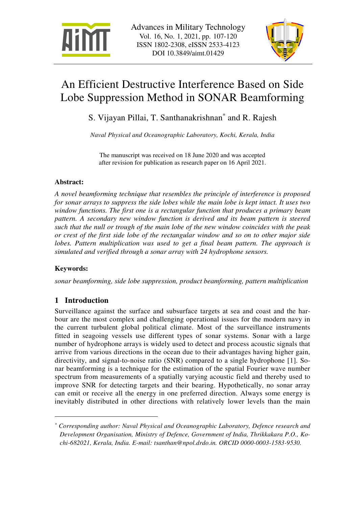



# An Efficient Destructive Interference Based on Side Lobe Suppression Method in SONAR Beamforming

S. Vijayan Pillai, T. Santhanakrishnan\* and R. Rajesh

*Naval Physical and Oceanographic Laboratory, Kochi, Kerala, India* 

The manuscript was received on 18 June 2020 and was accepted after revision for publication as research paper on 16 April 2021.

## **Abstract:**

*A novel beamforming technique that resembles the principle of interference is proposed for sonar arrays to suppress the side lobes while the main lobe is kept intact. It uses two window functions. The first one is a rectangular function that produces a primary beam pattern. A secondary new window function is derived and its beam pattern is steered such that the null or trough of the main lobe of the new window coincides with the peak or crest of the first side lobe of the rectangular window and so on to other major side lobes. Pattern multiplication was used to get a final beam pattern. The approach is simulated and verified through a sonar array with 24 hydrophone sensors.* 

## **Keywords:**

 $\overline{a}$ 

*sonar beamforming, side lobe suppression, product beamforming, pattern multiplication* 

# **1 Introduction**

Surveillance against the surface and subsurface targets at sea and coast and the harbour are the most complex and challenging operational issues for the modern navy in the current turbulent global political climate. Most of the surveillance instruments fitted in seagoing vessels use different types of sonar systems. Sonar with a large number of hydrophone arrays is widely used to detect and process acoustic signals that arrive from various directions in the ocean due to their advantages having higher gain, directivity, and signal-to-noise ratio (SNR) compared to a single hydrophone [1]. Sonar beamforming is a technique for the estimation of the spatial Fourier wave number spectrum from measurements of a spatially varying acoustic field and thereby used to improve SNR for detecting targets and their bearing. Hypothetically, no sonar array can emit or receive all the energy in one preferred direction. Always some energy is inevitably distributed in other directions with relatively lower levels than the main

*<sup>\*</sup> Corresponding author: Naval Physical and Oceanographic Laboratory, Defence research and Development Organisation, Ministry of Defence, Government of India, Thrikkakara P.O., Kochi-682021, Kerala, India. E-mail: tsanthan@npol.drdo.in. ORCID 0000-0003-1583-9530.*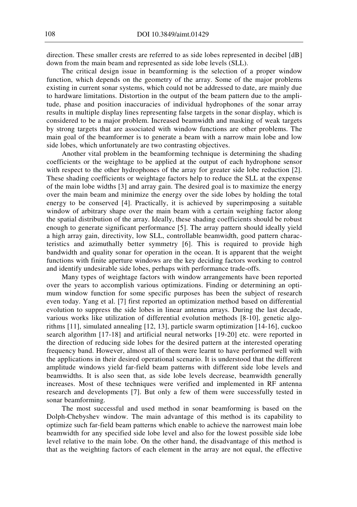direction. These smaller crests are referred to as side lobes represented in decibel [dB] down from the main beam and represented as side lobe levels (SLL).

The critical design issue in beamforming is the selection of a proper window function, which depends on the geometry of the array. Some of the major problems existing in current sonar systems, which could not be addressed to date, are mainly due to hardware limitations. Distortion in the output of the beam pattern due to the amplitude, phase and position inaccuracies of individual hydrophones of the sonar array results in multiple display lines representing false targets in the sonar display, which is considered to be a major problem. Increased beamwidth and masking of weak targets by strong targets that are associated with window functions are other problems. The main goal of the beamformer is to generate a beam with a narrow main lobe and low side lobes, which unfortunately are two contrasting objectives.

Another vital problem in the beamforming technique is determining the shading coefficients or the weightage to be applied at the output of each hydrophone sensor with respect to the other hydrophones of the array for greater side lobe reduction [2]. These shading coefficients or weightage factors help to reduce the SLL at the expense of the main lobe widths [3] and array gain. The desired goal is to maximize the energy over the main beam and minimize the energy over the side lobes by holding the total energy to be conserved [4]. Practically, it is achieved by superimposing a suitable window of arbitrary shape over the main beam with a certain weighing factor along the spatial distribution of the array. Ideally, these shading coefficients should be robust enough to generate significant performance [5]. The array pattern should ideally yield a high array gain, directivity, low SLL, controllable beamwidth, good pattern characteristics and azimuthally better symmetry [6]. This is required to provide high bandwidth and quality sonar for operation in the ocean. It is apparent that the weight functions with finite aperture windows are the key deciding factors working to control and identify undesirable side lobes, perhaps with performance trade-offs.

Many types of weightage factors with window arrangements have been reported over the years to accomplish various optimizations. Finding or determining an optimum window function for some specific purposes has been the subject of research even today. Yang et al. [7] first reported an optimization method based on differential evolution to suppress the side lobes in linear antenna arrays. During the last decade, various works like utilization of differential evolution methods [8-10], genetic algorithms [11], simulated annealing [12, 13], particle swarm optimization [14-16], cuckoo search algorithm [17-18] and artificial neural networks [19-20] etc. were reported in the direction of reducing side lobes for the desired pattern at the interested operating frequency band. However, almost all of them were learnt to have performed well with the applications in their desired operational scenario. It is understood that the different amplitude windows yield far-field beam patterns with different side lobe levels and beamwidths. It is also seen that, as side lobe levels decrease, beamwidth generally increases. Most of these techniques were verified and implemented in RF antenna research and developments [7]. But only a few of them were successfully tested in sonar beamforming.

The most successful and used method in sonar beamforming is based on the Dolph-Chebyshev window. The main advantage of this method is its capability to optimize such far-field beam patterns which enable to achieve the narrowest main lobe beamwidth for any specified side lobe level and also for the lowest possible side lobe level relative to the main lobe. On the other hand, the disadvantage of this method is that as the weighting factors of each element in the array are not equal, the effective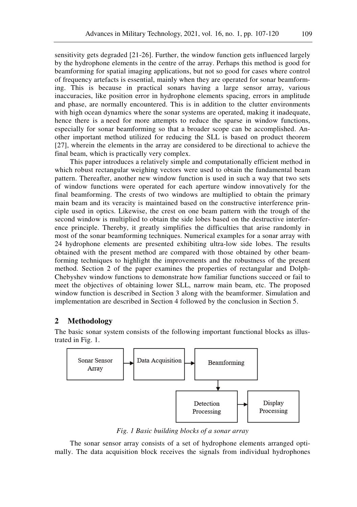sensitivity gets degraded [21-26]. Further, the window function gets influenced largely by the hydrophone elements in the centre of the array. Perhaps this method is good for beamforming for spatial imaging applications, but not so good for cases where control of frequency artefacts is essential, mainly when they are operated for sonar beamforming. This is because in practical sonars having a large sensor array, various inaccuracies, like position error in hydrophone elements spacing, errors in amplitude and phase, are normally encountered. This is in addition to the clutter environments with high ocean dynamics where the sonar systems are operated, making it inadequate, hence there is a need for more attempts to reduce the sparse in window functions, especially for sonar beamforming so that a broader scope can be accomplished. Another important method utilized for reducing the SLL is based on product theorem [27], wherein the elements in the array are considered to be directional to achieve the final beam, which is practically very complex.

This paper introduces a relatively simple and computationally efficient method in which robust rectangular weighing vectors were used to obtain the fundamental beam pattern. Thereafter, another new window function is used in such a way that two sets of window functions were operated for each aperture window innovatively for the final beamforming. The crests of two windows are multiplied to obtain the primary main beam and its veracity is maintained based on the constructive interference principle used in optics. Likewise, the crest on one beam pattern with the trough of the second window is multiplied to obtain the side lobes based on the destructive interference principle. Thereby, it greatly simplifies the difficulties that arise randomly in most of the sonar beamforming techniques. Numerical examples for a sonar array with 24 hydrophone elements are presented exhibiting ultra-low side lobes. The results obtained with the present method are compared with those obtained by other beamforming techniques to highlight the improvements and the robustness of the present method. Section 2 of the paper examines the properties of rectangular and Dolph-Chebyshev window functions to demonstrate how familiar functions succeed or fail to meet the objectives of obtaining lower SLL, narrow main beam, etc. The proposed window function is described in Section 3 along with the beamformer. Simulation and implementation are described in Section 4 followed by the conclusion in Section 5.

#### **2 Methodology**

The basic sonar system consists of the following important functional blocks as illustrated in Fig. 1.



*Fig. 1 Basic building blocks of a sonar array* 

The sonar sensor array consists of a set of hydrophone elements arranged optimally. The data acquisition block receives the signals from individual hydrophones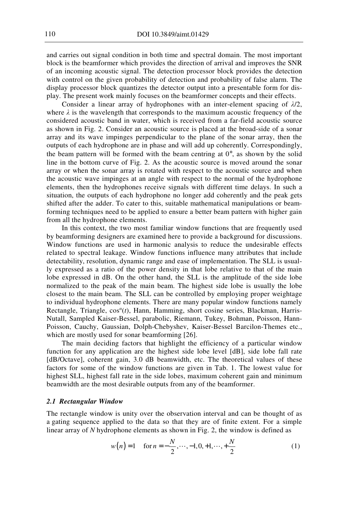and carries out signal condition in both time and spectral domain. The most important block is the beamformer which provides the direction of arrival and improves the SNR of an incoming acoustic signal. The detection processor block provides the detection with control on the given probability of detection and probability of false alarm. The display processor block quantizes the detector output into a presentable form for display. The present work mainly focuses on the beamformer concepts and their effects.

Consider a linear array of hydrophones with an inter-element spacing of *λ*/2, where  $\lambda$  is the wavelength that corresponds to the maximum acoustic frequency of the considered acoustic band in water, which is received from a far-field acoustic source as shown in Fig. 2. Consider an acoustic source is placed at the broad-side of a sonar array and its wave impinges perpendicular to the plane of the sonar array, then the outputs of each hydrophone are in phase and will add up coherently. Correspondingly, the beam pattern will be formed with the beam centring at  $0^\circ$ , as shown by the solid line in the bottom curve of Fig. 2. As the acoustic source is moved around the sonar array or when the sonar array is rotated with respect to the acoustic source and when the acoustic wave impinges at an angle with respect to the normal of the hydrophone elements, then the hydrophones receive signals with different time delays. In such a situation, the outputs of each hydrophone no longer add coherently and the peak gets shifted after the adder. To cater to this, suitable mathematical manipulations or beamforming techniques need to be applied to ensure a better beam pattern with higher gain from all the hydrophone elements.

In this context, the two most familiar window functions that are frequently used by beamforming designers are examined here to provide a background for discussions. Window functions are used in harmonic analysis to reduce the undesirable effects related to spectral leakage. Window functions influence many attributes that include detectability, resolution, dynamic range and ease of implementation. The SLL is usually expressed as a ratio of the power density in that lobe relative to that of the main lobe expressed in dB. On the other hand, the SLL is the amplitude of the side lobe normalized to the peak of the main beam. The highest side lobe is usually the lobe closest to the main beam. The SLL can be controlled by employing proper weightage to individual hydrophone elements. There are many popular window functions namely Rectangle, Triangle, cos*<sup>α</sup>* (*t*), Hann, Hamming, short cosine series, Blackman, Harris-Nutall, Sampled Kaiser-Bessel, parabolic, Riemann, Tukey, Bohman, Poisson, Hann-Poisson, Cauchy, Gaussian, Dolph-Chebyshev, Kaiser-Bessel Barcilon-Themes etc., which are mostly used for sonar beamforming [26].

The main deciding factors that highlight the efficiency of a particular window function for any application are the highest side lobe level [dB], side lobe fall rate [dB/Octave], coherent gain, 3.0 dB beamwidth, etc. The theoretical values of these factors for some of the window functions are given in Tab. 1. The lowest value for highest SLL, highest fall rate in the side lobes, maximum coherent gain and minimum beamwidth are the most desirable outputs from any of the beamformer.

#### *2.1 Rectangular Window*

The rectangle window is unity over the observation interval and can be thought of as a gating sequence applied to the data so that they are of finite extent. For a simple linear array of *N* hydrophone elements as shown in Fig. 2, the window is defined as

$$
w(n) = 1 \quad \text{for } n = -\frac{N}{2}, \dots, -1, 0, +1, \dots, +\frac{N}{2}
$$
 (1)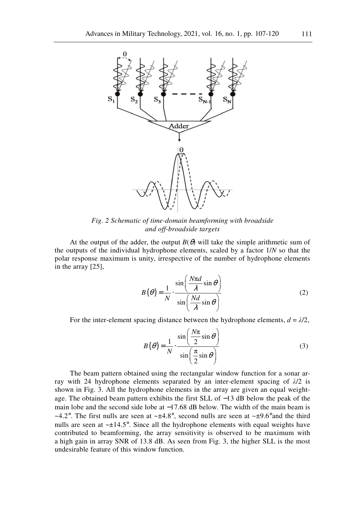

*Fig. 2 Schematic of time-domain beamforming with broadside and off-broadside targets* 

At the output of the adder, the output  $B(\theta)$  will take the simple arithmetic sum of the outputs of the individual hydrophone elements, scaled by a factor 1/*N* so that the polar response maximum is unity, irrespective of the number of hydrophone elements in the array [25],

$$
B(\theta) = \frac{1}{N} \cdot \frac{\sin\left(\frac{N\pi d}{\lambda}\sin\theta\right)}{\sin\left(\frac{Nd}{\lambda}\sin\theta\right)}
$$
(2)

For the inter-element spacing distance between the hydrophone elements,  $d = \lambda/2$ ,

$$
B(\theta) = \frac{1}{N} \cdot \frac{\sin\left(\frac{N\pi}{2}\sin\theta\right)}{\sin\left(\frac{\pi}{2}\sin\theta\right)}
$$
(3)

The beam pattern obtained using the rectangular window function for a sonar array with 24 hydrophone elements separated by an inter-element spacing of *λ*/2 is shown in Fig. 3. All the hydrophone elements in the array are given an equal weightage. The obtained beam pattern exhibits the first SLL of −13 dB below the peak of the main lobe and the second side lobe at  $-17.68$  dB below. The width of the main beam is ~4.2°. The first nulls are seen at ~ $\pm 4.8^\circ$ , second nulls are seen at ~ $\pm 9.6^\circ$  and the third nulls are seen at  $\sim \pm 14.5^{\circ}$ . Since all the hydrophone elements with equal weights have contributed to beamforming, the array sensitivity is observed to be maximum with a high gain in array SNR of 13.8 dB. As seen from Fig. 3, the higher SLL is the most undesirable feature of this window function.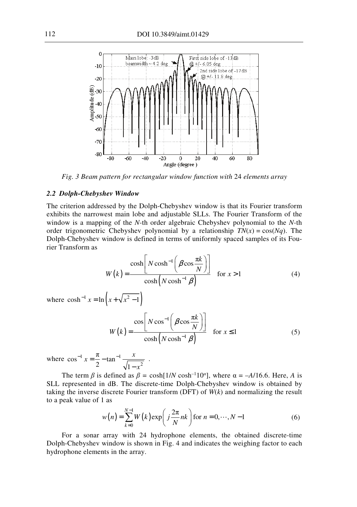

*Fig. 3 Beam pattern for rectangular window function with* 24 *elements array* 

#### *2.2 Dolph-Chebyshev Window*

The criterion addressed by the Dolph-Chebyshev window is that its Fourier transform exhibits the narrowest main lobe and adjustable SLLs. The Fourier Transform of the window is a mapping of the *N-*th order algebraic Chebyshev polynomial to the *N-*th order trigonometric Chebyshev polynomial by a relationship  $TN(x) = cos(Nq)$ . The Dolph-Chebyshev window is defined in terms of uniformly spaced samples of its Fourier Transform as

$$
W(k) = \frac{\cosh\left[N\cosh^{-1}\left(\beta\cos\frac{\pi k}{N}\right)\right]}{\cosh\left(N\cosh^{-1}\beta\right)} \quad \text{for } x > 1 \tag{4}
$$

where  $\cosh^{-1} x = \ln \left( x + \sqrt{x^2 - 1} \right)$ 

$$
W(k) = \frac{\cos\left[N\cos^{-1}\left(\beta\cos\frac{\pi k}{N}\right)\right]}{\cosh\left(N\cosh^{-1}\beta\right)} \quad \text{for } x \le 1 \tag{5}
$$

where  $\cos^{-1} x = \frac{\pi}{2} - \tan^{-1} \frac{x}{\sqrt{1-x^2}}$ π  $\cos^{-1} x = \frac{\pi}{2} - \tan^{-1} \frac{\pi}{\sqrt{1}}$  $x = \frac{\pi}{2} - \tan^{-1} \frac{x}{\sqrt{2}}$ *x*  $x = \frac{\pi}{2} - \tan^{-1}$ −

The term  $\beta$  is defined as  $\beta = \cosh[1/N \cosh^{-1} 10^{\alpha}]$ , where  $\alpha = -A/16.6$ . Here, *A* is SLL represented in dB. The discrete-time Dolph-Chebyshev window is obtained by taking the inverse discrete Fourier transform (DFT) of *W*(*k*) and normalizing the result to a peak value of 1 as

.

$$
w(n) = \sum_{k=0}^{N-1} W(k) \exp\left(j\frac{2\pi}{N}nk\right) \text{ for } n = 0, \dots, N-1
$$
 (6)

For a sonar array with 24 hydrophone elements, the obtained discrete-time Dolph-Chebyshev window is shown in Fig. 4 and indicates the weighing factor to each hydrophone elements in the array.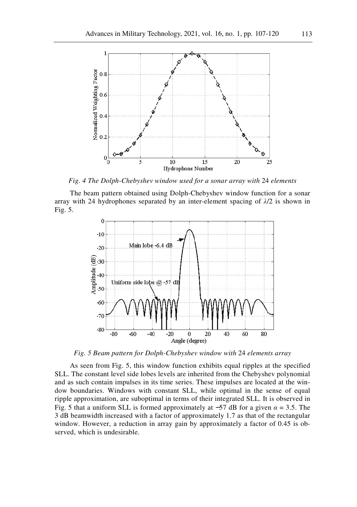

*Fig. 4 The Dolph-Chebyshev window used for a sonar array with* 24 *elements* 

The beam pattern obtained using Dolph-Chebyshev window function for a sonar array with 24 hydrophones separated by an inter-element spacing of  $\lambda/2$  is shown in Fig. 5.



*Fig. 5 Beam pattern for Dolph-Chebyshev window with* 24 *elements array* 

As seen from Fig. 5, this window function exhibits equal ripples at the specified SLL. The constant level side lobes levels are inherited from the Chebyshev polynomial and as such contain impulses in its time series. These impulses are located at the window boundaries. Windows with constant SLL, while optimal in the sense of equal ripple approximation, are suboptimal in terms of their integrated SLL. It is observed in Fig. 5 that a uniform SLL is formed approximately at −57 dB for a given *α* = 3.5. The 3 dB beamwidth increased with a factor of approximately 1.7 as that of the rectangular window. However, a reduction in array gain by approximately a factor of 0.45 is observed, which is undesirable.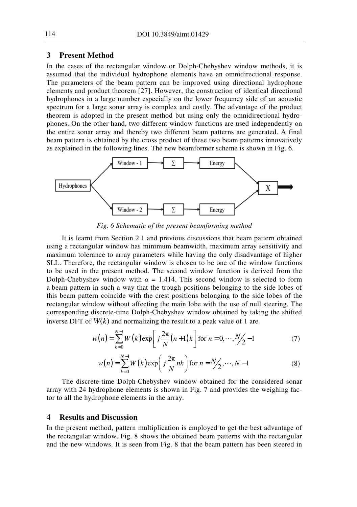### **3 Present Method**

In the cases of the rectangular window or Dolph-Chebyshev window methods, it is assumed that the individual hydrophone elements have an omnidirectional response. The parameters of the beam pattern can be improved using directional hydrophone elements and product theorem [27]. However, the construction of identical directional hydrophones in a large number especially on the lower frequency side of an acoustic spectrum for a large sonar array is complex and costly. The advantage of the product theorem is adopted in the present method but using only the omnidirectional hydrophones. On the other hand, two different window functions are used independently on the entire sonar array and thereby two different beam patterns are generated. A final beam pattern is obtained by the cross product of these two beam patterns innovatively as explained in the following lines. The new beamformer scheme is shown in Fig. 6.



*Fig. 6 Schematic of the present beamforming method* 

It is learnt from Section 2.1 and previous discussions that beam pattern obtained using a rectangular window has minimum beamwidth, maximum array sensitivity and maximum tolerance to array parameters while having the only disadvantage of higher SLL. Therefore, the rectangular window is chosen to be one of the window functions to be used in the present method. The second window function is derived from the Dolph-Chebyshev window with  $\alpha = 1.414$ . This second window is selected to form a beam pattern in such a way that the trough positions belonging to the side lobes of this beam pattern coincide with the crest positions belonging to the side lobes of the rectangular window without affecting the main lobe with the use of null steering. The corresponding discrete-time Dolph-Chebyshev window obtained by taking the shifted inverse DFT of  $W(k)$  and normalizing the result to a peak value of 1 are

$$
w(n) = \sum_{k=0}^{N-1} W(k) \exp\left[j\frac{2\pi}{N}(n+1)k\right] \text{ for } n = 0, \cdots, \frac{N}{2} - 1
$$
 (7)

$$
w(n) = \sum_{k=0}^{N-1} W(k) \exp\left(j\frac{2\pi}{N}nk\right) \text{ for } n = N/2, \dots, N-1
$$
 (8)

The discrete-time Dolph-Chebyshev window obtained for the considered sonar array with 24 hydrophone elements is shown in Fig. 7 and provides the weighing factor to all the hydrophone elements in the array.

#### **4 Results and Discussion**

In the present method, pattern multiplication is employed to get the best advantage of the rectangular window. Fig. 8 shows the obtained beam patterns with the rectangular and the new windows. It is seen from Fig. 8 that the beam pattern has been steered in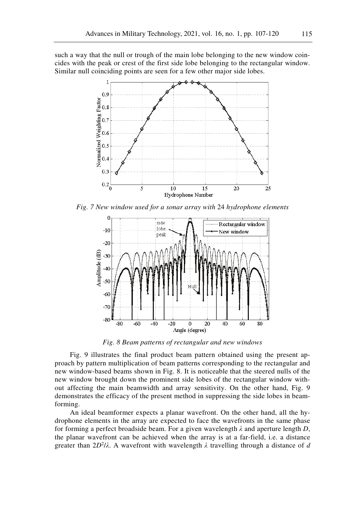such a way that the null or trough of the main lobe belonging to the new window coincides with the peak or crest of the first side lobe belonging to the rectangular window. Similar null coinciding points are seen for a few other major side lobes.



*Fig. 7 New window used for a sonar array with* 24 *hydrophone elements* 



*Fig. 8 Beam patterns of rectangular and new windows*

Fig. 9 illustrates the final product beam pattern obtained using the present approach by pattern multiplication of beam patterns corresponding to the rectangular and new window-based beams shown in Fig. 8. It is noticeable that the steered nulls of the new window brought down the prominent side lobes of the rectangular window without affecting the main beamwidth and array sensitivity. On the other hand, Fig. 9 demonstrates the efficacy of the present method in suppressing the side lobes in beamforming.

An ideal beamformer expects a planar wavefront. On the other hand, all the hydrophone elements in the array are expected to face the wavefronts in the same phase for forming a perfect broadside beam. For a given wavelength *λ* and aperture length *D*, the planar wavefront can be achieved when the array is at a far-field, i.e. a distance greater than 2*D*<sup>2</sup> /*λ*. A wavefront with wavelength *λ* travelling through a distance of *d*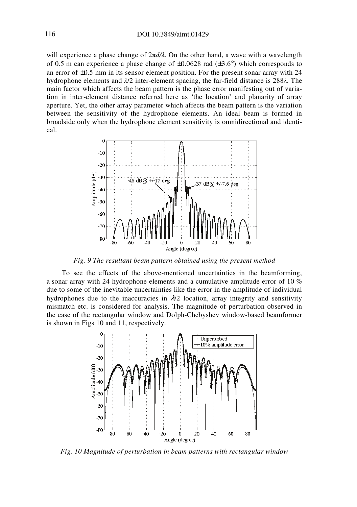will experience a phase change of 2π*d/λ*. On the other hand, a wave with a wavelength of 0.5 m can experience a phase change of  $\pm 0.0628$  rad ( $\pm 3.6^{\circ}$ ) which corresponds to an error of  $\pm 0.5$  mm in its sensor element position. For the present sonar array with 24 hydrophone elements and *λ*/2 inter-element spacing, the far-field distance is 288*λ*. The main factor which affects the beam pattern is the phase error manifesting out of variation in inter-element distance referred here as 'the location' and planarity of array aperture. Yet, the other array parameter which affects the beam pattern is the variation between the sensitivity of the hydrophone elements. An ideal beam is formed in broadside only when the hydrophone element sensitivity is omnidirectional and identical.



*Fig. 9 The resultant beam pattern obtained using the present method* 

To see the effects of the above-mentioned uncertainties in the beamforming, a sonar array with 24 hydrophone elements and a cumulative amplitude error of 10 % due to some of the inevitable uncertainties like the error in the amplitude of individual hydrophones due to the inaccuracies in  $\lambda/2$  location, array integrity and sensitivity mismatch etc. is considered for analysis. The magnitude of perturbation observed in the case of the rectangular window and Dolph-Chebyshev window-based beamformer is shown in Figs 10 and 11, respectively.



*Fig. 10 Magnitude of perturbation in beam patterns with rectangular window*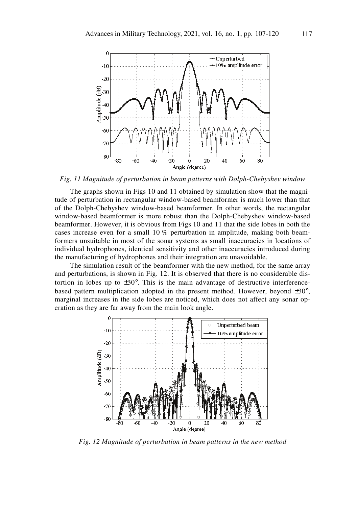

*Fig. 11 Magnitude of perturbation in beam patterns with Dolph-Chebyshev window* 

The graphs shown in Figs 10 and 11 obtained by simulation show that the magnitude of perturbation in rectangular window-based beamformer is much lower than that of the Dolph-Chebyshev window-based beamformer. In other words, the rectangular window-based beamformer is more robust than the Dolph-Chebyshev window-based beamformer. However, it is obvious from Figs 10 and 11 that the side lobes in both the cases increase even for a small 10 % perturbation in amplitude, making both beamformers unsuitable in most of the sonar systems as small inaccuracies in locations of individual hydrophones, identical sensitivity and other inaccuracies introduced during the manufacturing of hydrophones and their integration are unavoidable.

The simulation result of the beamformer with the new method, for the same array and perturbations, is shown in Fig. 12. It is observed that there is no considerable distortion in lobes up to  $\pm 30^{\circ}$ . This is the main advantage of destructive interferencebased pattern multiplication adopted in the present method. However, beyond ±30°, marginal increases in the side lobes are noticed, which does not affect any sonar operation as they are far away from the main look angle.



*Fig. 12 Magnitude of perturbation in beam patterns in the new method*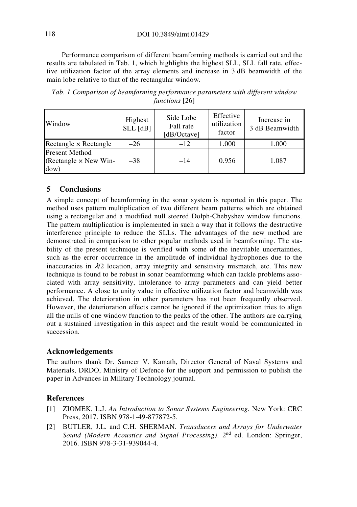Performance comparison of different beamforming methods is carried out and the results are tabulated in Tab. 1, which highlights the highest SLL, SLL fall rate, effective utilization factor of the array elements and increase in 3 dB beamwidth of the main lobe relative to that of the rectangular window.

| Window                                                        | Highest<br>$SLL$ [dB] | Side Lobe<br>Fall rate<br>[dB/Octave] | Effective<br>utilization<br>factor | Increase in<br>3 dB Beamwidth |
|---------------------------------------------------------------|-----------------------|---------------------------------------|------------------------------------|-------------------------------|
| Rectangle $\times$ Rectangle                                  | $-26$                 | $-12$                                 | 1.000                              | 1.000                         |
| <b>Present Method</b><br>(Rectangle $\times$ New Win-<br>dow) | $-38$                 | $-14$                                 | 0.956                              | 1.087                         |

*Tab. 1 Comparison of beamforming performance parameters with different window functions* [26]

## **5 Conclusions**

A simple concept of beamforming in the sonar system is reported in this paper. The method uses pattern multiplication of two different beam patterns which are obtained using a rectangular and a modified null steered Dolph-Chebyshev window functions. The pattern multiplication is implemented in such a way that it follows the destructive interference principle to reduce the SLLs. The advantages of the new method are demonstrated in comparison to other popular methods used in beamforming. The stability of the present technique is verified with some of the inevitable uncertainties, such as the error occurrence in the amplitude of individual hydrophones due to the inaccuracies in  $\lambda/2$  location, array integrity and sensitivity mismatch, etc. This new technique is found to be robust in sonar beamforming which can tackle problems associated with array sensitivity, intolerance to array parameters and can yield better performance. A close to unity value in effective utilization factor and beamwidth was achieved. The deterioration in other parameters has not been frequently observed. However, the deterioration effects cannot be ignored if the optimization tries to align all the nulls of one window function to the peaks of the other. The authors are carrying out a sustained investigation in this aspect and the result would be communicated in succession.

## **Acknowledgements**

The authors thank Dr. Sameer V. Kamath, Director General of Naval Systems and Materials, DRDO, Ministry of Defence for the support and permission to publish the paper in Advances in Military Technology journal.

## **References**

- [1] ZIOMEK, L.J. *An Introduction to Sonar Systems Engineering*. New York: CRC Press, 2017. ISBN 978-1-49-877872-5.
- [2] BUTLER, J.L. and C.H. SHERMAN. *Transducers and Arrays for Underwater Sound (Modern Acoustics and Signal Processing)*. 2<sup>nd</sup> ed. London: Springer, 2016. ISBN 978-3-31-939044-4.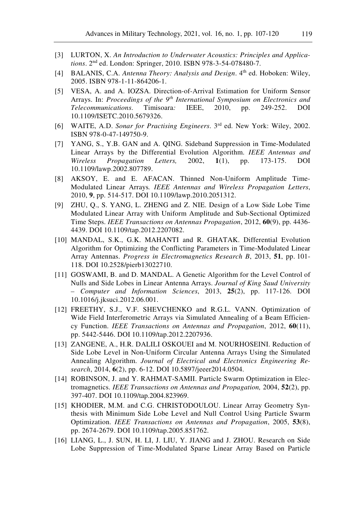- [3] LURTON, X. *An Introduction to Underwater Acoustics: Principles and Applications*. 2nd ed. London: Springer, 2010. ISBN 978-3-54-078480-7.
- [4] BALANIS, C.A. *Antenna Theory: Analysis and Design*. 4<sup>th</sup> ed. Hoboken: Wiley, 2005. ISBN 978-1-11-864206-1.
- [5] VESA, A. and A. IOZSA. Direction-of-Arrival Estimation for Uniform Sensor Arrays. In: *Proceedings of the 9th International Symposium on Electronics and Telecommunications*. Timisoara*:* IEEE, 2010, pp. 249-252. DOI 10.1109/ISETC.2010.5679326.
- [6] WAITE, A.D. *Sonar for Practising Engineers*. 3rd ed. New York: Wiley, 2002. ISBN 978-0-47-149750-9.
- [7] YANG, S., Y.B. GAN and A. QING. Sideband Suppression in Time-Modulated Linear Arrays by the Differential Evolution Algorithm. *IEEE Antennas and Wireless Propagation Letters,* 2002, **1**(1), pp. 173-175. DOI 10.1109/lawp.2002.807789.
- [8] AKSOY, E. and E. AFACAN. Thinned Non-Uniform Amplitude Time-Modulated Linear Arrays*. IEEE Antennas and Wireless Propagation Letters*, 2010, **9**, pp. 514-517. DOI 10.1109/lawp.2010.2051312.
- [9] ZHU, Q., S. YANG, L. ZHENG and Z. NIE. Design of a Low Side Lobe Time Modulated Linear Array with Uniform Amplitude and Sub-Sectional Optimized Time Steps. *IEEE Transactions on Antennas Propagation*, 2012, **60**(9), pp. 4436- 4439. DOI 10.1109/tap.2012.2207082.
- [10] MANDAL, S.K., G.K. MAHANTI and R. GHATAK. Differential Evolution Algorithm for Optimizing the Conflicting Parameters in Time-Modulated Linear Array Antennas. *Progress in Electromagnetics Research B*, 2013, **51**, pp. 101- 118. DOI 10.2528/pierb13022710.
- [11] GOSWAMI, B. and D. MANDAL. A Genetic Algorithm for the Level Control of Nulls and Side Lobes in Linear Antenna Arrays. *Journal of King Saud University – Computer and Information Sciences*, 2013, **25**(2), pp. 117-126. DOI 10.1016/j.jksuci.2012.06.001.
- [12] FREETHY, S.J., V.F. SHEVCHENKO and R.G.L. VANN. Optimization of Wide Field Interferometric Arrays via Simulated Annealing of a Beam Efficiency Function. *IEEE Transactions on Antennas and Propagation*, 2012, **60**(11), pp. 5442-5446. DOI 10.1109/tap.2012.2207936.
- [13] ZANGENE, A., H.R. DALILI OSKOUEI and M. NOURHOSEINI. Reduction of Side Lobe Level in Non-Uniform Circular Antenna Arrays Using the Simulated Annealing Algorithm. *Journal of Electrical and Electronics Engineering Research*, 2014, **6**(2), pp. 6-12. DOI 10.5897/jeeer2014.0504.
- [14] ROBINSON, J. and Y. RAHMAT-SAMII. Particle Swarm Optimization in Electromagnetics. *IEEE Transactions on Antennas and Propagation,* 2004, **52**(2), pp. 397-407. DOI 10.1109/tap.2004.823969.
- [15] KHODIER, M.M. and C.G. CHRISTODOULOU. Linear Array Geometry Synthesis with Minimum Side Lobe Level and Null Control Using Particle Swarm Optimization. *IEEE Transactions on Antennas and Propagation*, 2005, **53**(8), pp. 2674-2679. DOI 10.1109/tap.2005.851762.
- [16] LIANG, L., J. SUN, H. LI, J. LIU, Y. JIANG and J. ZHOU. Research on Side Lobe Suppression of Time-Modulated Sparse Linear Array Based on Particle